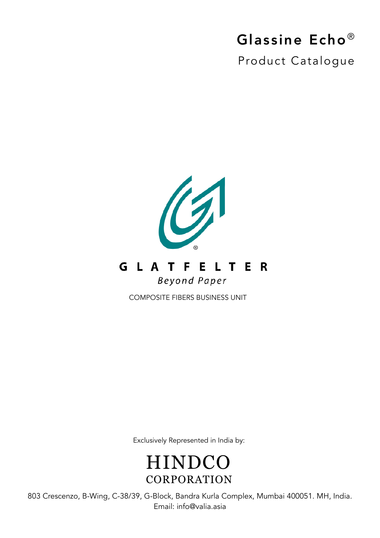## Glassine Echo®

Product Catalogue



Exclusively Represented in India by:

**HINDCO** CORPORATION

803 Crescenzo, B-Wing, C-38/39, G-Block, Bandra Kurla Complex, Mumbai 400051. MH, India. Email: info@valia.asia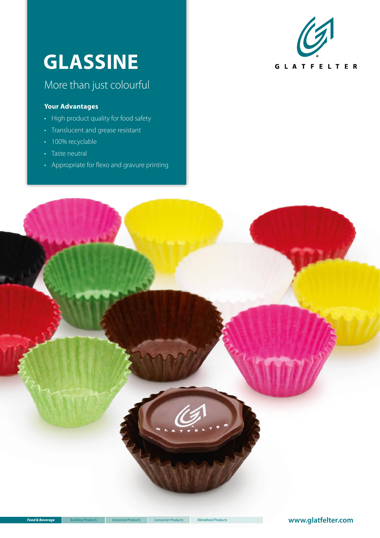# **GLASSINE**

## More than just colourful

#### **Your Advantages**

- High product quality for food safety
- Translucent and grease resistant
- 100% recyclable
- Taste neutral
- Appropriate for flexo and gravure printing